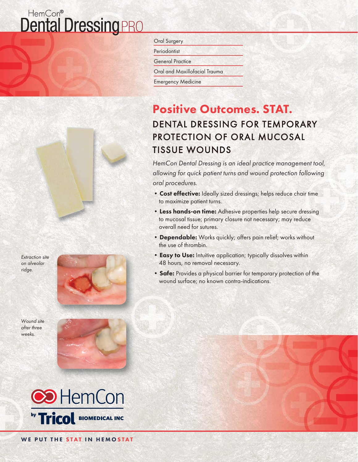### HemCon® **Dental Dressing PRO**



Extraction site on alveolar ridge.



Wound site after three weeks.





Oral Surgery

Periodontist

General Practice

Oral and Maxillofacial Trauma

Emergency Medicine

# Positive Outcomes. STAT.

### DENTAL DRESSING FOR TEMPORARY PROTECTION OF ORAL MUCOSAL **TISSUE WOUNDS**

HemCon Dental Dressing is an ideal practice management tool, allowing for quick patient turns and wound protection following oral procedures.

- Cost effective: Ideally sized dressings; helps reduce chair time to maximize patient turns.
- Less hands-on time: Adhesive properties help secure dressing to mucosal tissue; primary closure not necessary; may reduce overall need for sutures.
- Dependable: Works quickly; offers pain relief; works without the use of thrombin.
- Easy to Use: Intuitive application; typically dissolves within 48 hours, no removal necessary.
- Safe: Provides a physical barrier for temporary protection of the wound surface; no known contra-indications.